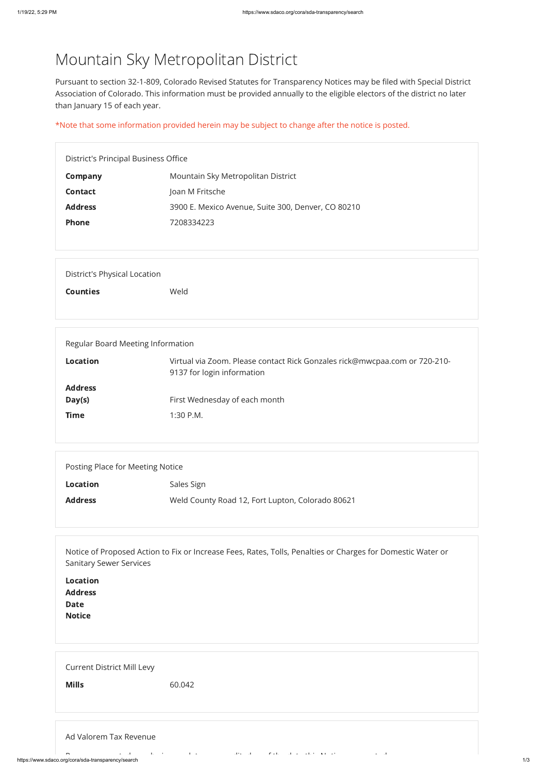https://www.sdaco.org/cora/sda-transparency/search 1/3

## Mountain Sky Metropolitan District

Pursuant to section 32-1-809, Colorado Revised Statutes for Transparency Notices may be filed with Special District Association of Colorado. This information must be provided annually to the eligible electors of the district no later than January 15 of each year.

\*Note that some information provided herein may be subject to change after the notice is posted.

| District's Principal Business Office |                                                    |  |
|--------------------------------------|----------------------------------------------------|--|
| Company                              | Mountain Sky Metropolitan District                 |  |
| <b>Contact</b>                       | Joan M Fritsche                                    |  |
| <b>Address</b>                       | 3900 E. Mexico Avenue, Suite 300, Denver, CO 80210 |  |
| <b>Phone</b>                         | 7208334223                                         |  |
|                                      |                                                    |  |

| District's Physical Location |      |  |
|------------------------------|------|--|
| <b>Counties</b>              | Weld |  |
|                              |      |  |

| Regular Board Meeting Information                                                                                           |                               |  |  |
|-----------------------------------------------------------------------------------------------------------------------------|-------------------------------|--|--|
| Virtual via Zoom. Please contact Rick Gonzales rick@mwcpaa.com or 720-210-<br><b>Location</b><br>9137 for login information |                               |  |  |
| <b>Address</b><br>Day(s)                                                                                                    | First Wednesday of each month |  |  |
| <b>Time</b>                                                                                                                 | $1:30$ P.M.                   |  |  |
|                                                                                                                             |                               |  |  |

Posting Place for Meeting Notice

Location Sales Sign

Address Weld County Road 12, Fort Lupton, Colorado 80621

Notice of Proposed Action to Fix or Increase Fees, Rates, Tolls, Penalties or Charges for Domestic Water or Sanitary Sewer Services

Location

| EVLULIVII      |  |  |  |
|----------------|--|--|--|
| <b>Address</b> |  |  |  |
| Date<br>Notice |  |  |  |
|                |  |  |  |
|                |  |  |  |
|                |  |  |  |
|                |  |  |  |

| <b>Current District Mill Levy</b> |  |  |
|-----------------------------------|--|--|
|-----------------------------------|--|--|

**Mills** 60.042

## Ad Valorem Tax Revenue

R t d b i l t dit d f th d t thi N ti t d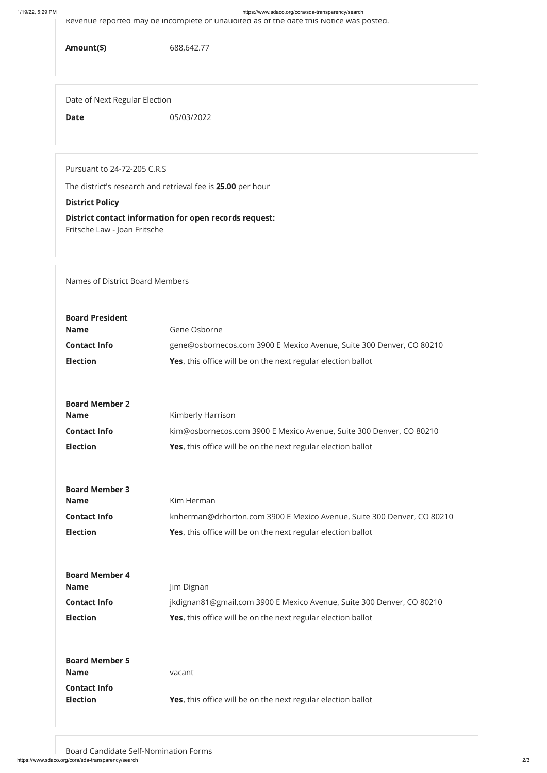1/19/22, 5:29 PM https://www.sdaco.org/cora/sda-transparency/search

Revenue reported may be incomplete or unaudited as of the date this Notice was posted.

Amount(\$) 688,642.77

Date of Next Regular Election

Date 05/03/2022

Pursuant to 24-72-205 C.R.S

The district's research and retrieval fee is 25.00 per hour

## District Policy

District contact information for open records request: Fritsche Law - Joan Fritsche

Names of District Board Members

https://www.sdaco.org/cora/sda-transparency/search 2/3 Board Candidate Self-Nomination Forms

| <b>Board President</b> |                                                                        |  |
|------------------------|------------------------------------------------------------------------|--|
| <b>Name</b>            | Gene Osborne                                                           |  |
| <b>Contact Info</b>    | gene@osbornecos.com 3900 E Mexico Avenue, Suite 300 Denver, CO 80210   |  |
| <b>Election</b>        | <b>Yes</b> , this office will be on the next regular election ballot   |  |
|                        |                                                                        |  |
| <b>Board Member 2</b>  |                                                                        |  |
| <b>Name</b>            | Kimberly Harrison                                                      |  |
| <b>Contact Info</b>    | kim@osbornecos.com 3900 E Mexico Avenue, Suite 300 Denver, CO 80210    |  |
| <b>Election</b>        | Yes, this office will be on the next regular election ballot           |  |
|                        |                                                                        |  |
| <b>Board Member 3</b>  |                                                                        |  |
| <b>Name</b>            | Kim Herman                                                             |  |
| <b>Contact Info</b>    | knherman@drhorton.com 3900 E Mexico Avenue, Suite 300 Denver, CO 80210 |  |
| <b>Election</b>        | Yes, this office will be on the next regular election ballot           |  |
|                        |                                                                        |  |
|                        |                                                                        |  |

| <b>Name</b>           | Jim Dignan                                                            |  |
|-----------------------|-----------------------------------------------------------------------|--|
| <b>Contact Info</b>   | jkdignan81@gmail.com 3900 E Mexico Avenue, Suite 300 Denver, CO 80210 |  |
| <b>Election</b>       | Yes, this office will be on the next regular election ballot          |  |
|                       |                                                                       |  |
|                       |                                                                       |  |
| <b>Board Member 5</b> |                                                                       |  |
| <b>Name</b>           | vacant                                                                |  |
| <b>Contact Info</b>   |                                                                       |  |
| <b>Election</b>       | <b>Yes,</b> this office will be on the next regular election ballot   |  |
|                       |                                                                       |  |